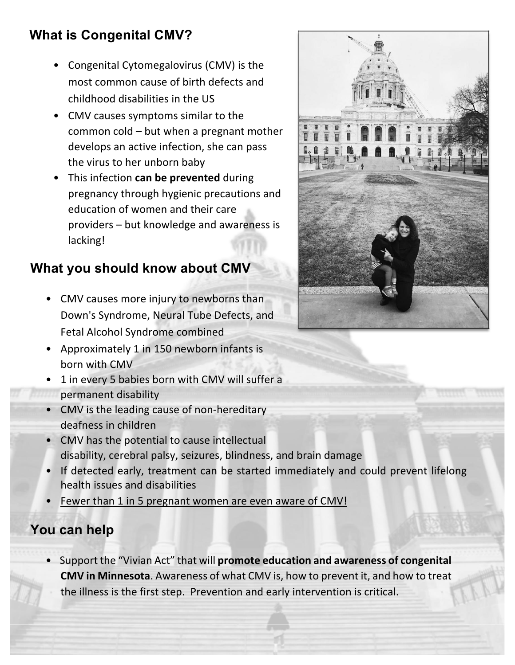## **What is Congenital CMV?**

- Congenital Cytomegalovirus (CMV) is the most common cause of birth defects and childhood disabilities in the US
- CMV causes symptoms similar to the common cold  $-$  but when a pregnant mother develops an active infection, she can pass the virus to her unborn baby
- This infection **can be prevented** during pregnancy through hygienic precautions and education of women and their care  $provides - but knowledge and awareness is$ lacking!

## **What you should know about CMV**

- CMV causes more injury to newborns than Down's Syndrome, Neural Tube Defects, and Fetal Alcohol Syndrome combined
- Approximately 1 in 150 newborn infants is born with CMV
- 1 in every 5 babies born with CMV will suffer a permanent disability
- CMV is the leading cause of non-hereditary deafness in children
- CMV has the potential to cause intellectual disability, cerebral palsy, seizures, blindness, and brain damage
- If detected early, treatment can be started immediately and could prevent lifelong health issues and disabilities
- Fewer than 1 in 5 pregnant women are even aware of CMV!

## **You can help**

• Support the "Vivian Act" that will **promote education and awareness of congenital CMV in Minnesota**. Awareness of what CMV is, how to prevent it, and how to treat the illness is the first step. Prevention and early intervention is critical.